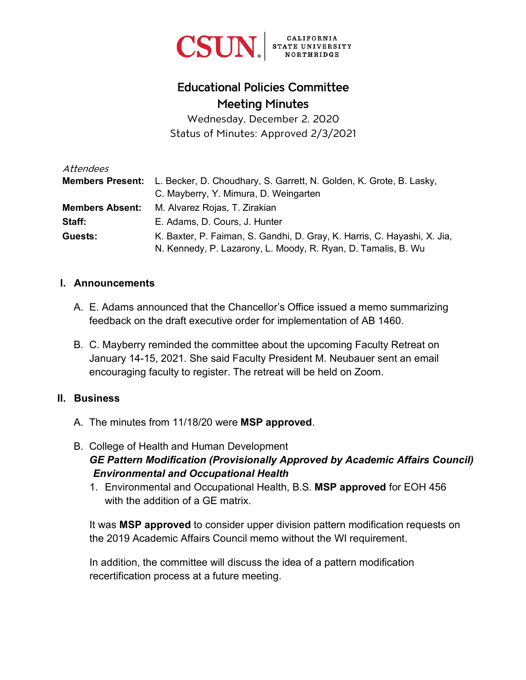

# Educational Policies Committee Meeting Minutes

Wednesday, December 2, 2020 Status of Minutes: Approved 2/3/2021

| Attendees              |                                                                                             |
|------------------------|---------------------------------------------------------------------------------------------|
|                        | <b>Members Present:</b> L. Becker, D. Choudhary, S. Garrett, N. Golden, K. Grote, B. Lasky, |
|                        | C. Mayberry, Y. Mimura, D. Weingarten                                                       |
| <b>Members Absent:</b> | M. Alvarez Rojas, T. Zirakian                                                               |
| Staff:                 | E. Adams, D. Cours, J. Hunter                                                               |
| Guests:                | K. Baxter, P. Faiman, S. Gandhi, D. Gray, K. Harris, C. Hayashi, X. Jia,                    |
|                        | N. Kennedy, P. Lazarony, L. Moody, R. Ryan, D. Tamalis, B. Wu                               |

#### **I. Announcements**

- A. E. Adams announced that the Chancellor's Office issued a memo summarizing feedback on the draft executive order for implementation of AB 1460.
- B. C. Mayberry reminded the committee about the upcoming Faculty Retreat on January 14-15, 2021. She said Faculty President M. Neubauer sent an email encouraging faculty to register. The retreat will be held on Zoom.

#### **II. Business**

- A. The minutes from 11/18/20 were **MSP approved**.
- B. College of Health and Human Development *GE Pattern Modification (Provisionally Approved by Academic Affairs Council) Environmental and Occupational Health*
	- 1. Environmental and Occupational Health, B.S. **MSP approved** for EOH 456 with the addition of a GE matrix.

It was **MSP approved** to consider upper division pattern modification requests on the 2019 Academic Affairs Council memo without the WI requirement.

In addition, the committee will discuss the idea of a pattern modification recertification process at a future meeting.